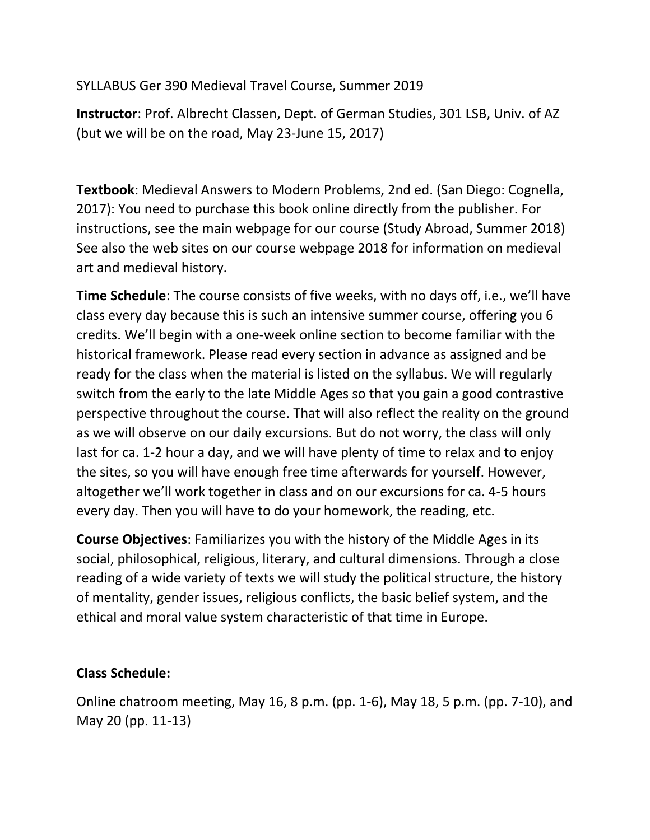SYLLABUS Ger 390 Medieval Travel Course, Summer 2019

**Instructor**: Prof. Albrecht Classen, Dept. of German Studies, 301 LSB, Univ. of AZ (but we will be on the road, May 23-June 15, 2017)

**Textbook**: Medieval Answers to Modern Problems, 2nd ed. (San Diego: Cognella, 2017): You need to purchase this book online directly from the publisher. For instructions, see the main webpage for our course (Study Abroad, Summer 2018) See also the web sites on our course webpage 2018 for information on medieval art and medieval history.

**Time Schedule**: The course consists of five weeks, with no days off, i.e., we'll have class every day because this is such an intensive summer course, offering you 6 credits. We'll begin with a one-week online section to become familiar with the historical framework. Please read every section in advance as assigned and be ready for the class when the material is listed on the syllabus. We will regularly switch from the early to the late Middle Ages so that you gain a good contrastive perspective throughout the course. That will also reflect the reality on the ground as we will observe on our daily excursions. But do not worry, the class will only last for ca. 1-2 hour a day, and we will have plenty of time to relax and to enjoy the sites, so you will have enough free time afterwards for yourself. However, altogether we'll work together in class and on our excursions for ca. 4-5 hours every day. Then you will have to do your homework, the reading, etc.

**Course Objectives**: Familiarizes you with the history of the Middle Ages in its social, philosophical, religious, literary, and cultural dimensions. Through a close reading of a wide variety of texts we will study the political structure, the history of mentality, gender issues, religious conflicts, the basic belief system, and the ethical and moral value system characteristic of that time in Europe.

## **Class Schedule:**

Online chatroom meeting, May 16, 8 p.m. (pp. 1-6), May 18, 5 p.m. (pp. 7-10), and May 20 (pp. 11-13)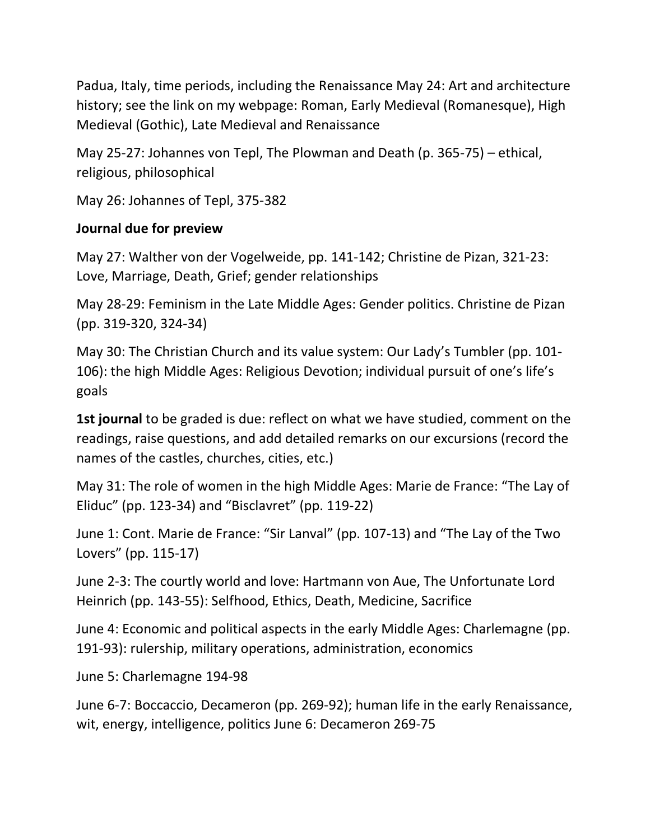Padua, Italy, time periods, including the Renaissance May 24: Art and architecture history; see the link on my webpage: Roman, Early Medieval (Romanesque), High Medieval (Gothic), Late Medieval and Renaissance

May 25-27: Johannes von Tepl, The Plowman and Death (p. 365-75) – ethical, religious, philosophical

May 26: Johannes of Tepl, 375-382

## **Journal due for preview**

May 27: Walther von der Vogelweide, pp. 141-142; Christine de Pizan, 321-23: Love, Marriage, Death, Grief; gender relationships

May 28-29: Feminism in the Late Middle Ages: Gender politics. Christine de Pizan (pp. 319-320, 324-34)

May 30: The Christian Church and its value system: Our Lady's Tumbler (pp. 101- 106): the high Middle Ages: Religious Devotion; individual pursuit of one's life's goals

**1st journal** to be graded is due: reflect on what we have studied, comment on the readings, raise questions, and add detailed remarks on our excursions (record the names of the castles, churches, cities, etc.)

May 31: The role of women in the high Middle Ages: Marie de France: "The Lay of Eliduc" (pp. 123-34) and "Bisclavret" (pp. 119-22)

June 1: Cont. Marie de France: "Sir Lanval" (pp. 107-13) and "The Lay of the Two Lovers" (pp. 115-17)

June 2-3: The courtly world and love: Hartmann von Aue, The Unfortunate Lord Heinrich (pp. 143-55): Selfhood, Ethics, Death, Medicine, Sacrifice

June 4: Economic and political aspects in the early Middle Ages: Charlemagne (pp. 191-93): rulership, military operations, administration, economics

June 5: Charlemagne 194-98

June 6-7: Boccaccio, Decameron (pp. 269-92); human life in the early Renaissance, wit, energy, intelligence, politics June 6: Decameron 269-75